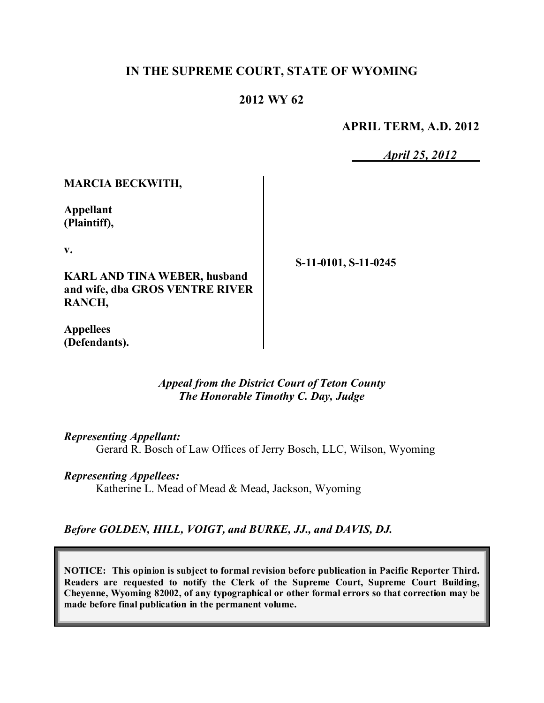### **IN THE SUPREME COURT, STATE OF WYOMING**

### **2012 WY 62**

**APRIL TERM, A.D. 2012**

*April 25, 2012*

#### **MARCIA BECKWITH,**

**Appellant (Plaintiff),**

**v.**

**KARL AND TINA WEBER, husband and wife, dba GROS VENTRE RIVER RANCH,**

**S-11-0101, S-11-0245**

**Appellees (Defendants).**

> *Appeal from the District Court of Teton County The Honorable Timothy C. Day, Judge*

*Representing Appellant:*

Gerard R. Bosch of Law Offices of Jerry Bosch, LLC, Wilson, Wyoming

#### *Representing Appellees:*

Katherine L. Mead of Mead & Mead, Jackson, Wyoming

*Before GOLDEN, HILL, VOIGT, and BURKE, JJ., and DAVIS, DJ.*

**NOTICE: This opinion is subject to formal revision before publication in Pacific Reporter Third. Readers are requested to notify the Clerk of the Supreme Court, Supreme Court Building, Cheyenne, Wyoming 82002, of any typographical or other formal errors so that correction may be made before final publication in the permanent volume.**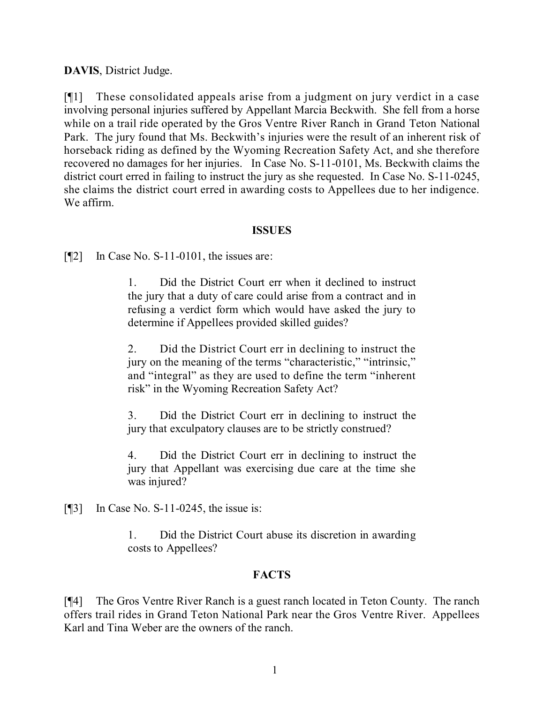**DAVIS**, District Judge.

[¶1] These consolidated appeals arise from a judgment on jury verdict in a case involving personal injuries suffered by Appellant Marcia Beckwith. She fell from a horse while on a trail ride operated by the Gros Ventre River Ranch in Grand Teton National Park. The jury found that Ms. Beckwith's injuries were the result of an inherent risk of horseback riding as defined by the Wyoming Recreation Safety Act, and she therefore recovered no damages for her injuries. In Case No. S-11-0101, Ms. Beckwith claims the district court erred in failing to instruct the jury as she requested. In Case No. S-11-0245, she claims the district court erred in awarding costs to Appellees due to her indigence. We affirm.

### **ISSUES**

[¶2] In Case No. S-11-0101, the issues are:

1. Did the District Court err when it declined to instruct the jury that a duty of care could arise from a contract and in refusing a verdict form which would have asked the jury to determine if Appellees provided skilled guides?

2. Did the District Court err in declining to instruct the jury on the meaning of the terms "characteristic," "intrinsic," and "integral" as they are used to define the term "inherent risk" in the Wyoming Recreation Safety Act?

3. Did the District Court err in declining to instruct the jury that exculpatory clauses are to be strictly construed?

4. Did the District Court err in declining to instruct the jury that Appellant was exercising due care at the time she was injured?

 $[$ [[3] In Case No. S-11-0245, the issue is:

1. Did the District Court abuse its discretion in awarding costs to Appellees?

## **FACTS**

[¶4] The Gros Ventre River Ranch is a guest ranch located in Teton County. The ranch offers trail rides in Grand Teton National Park near the Gros Ventre River. Appellees Karl and Tina Weber are the owners of the ranch.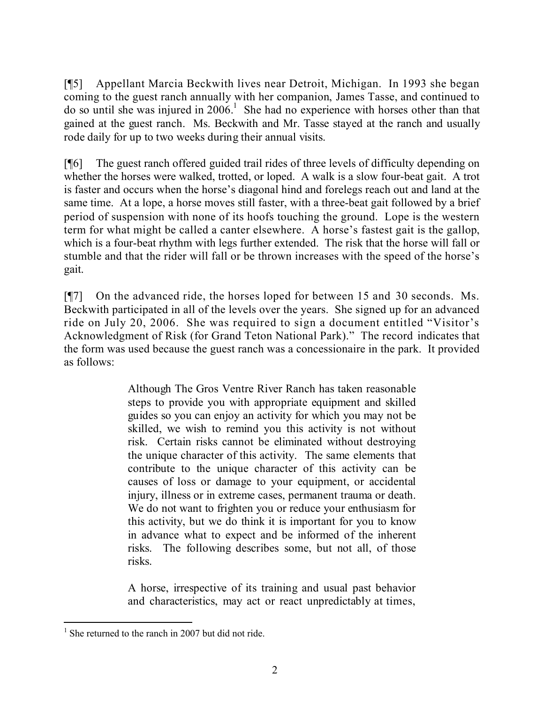[¶5] Appellant Marcia Beckwith lives near Detroit, Michigan. In 1993 she began coming to the guest ranch annually with her companion, James Tasse, and continued to do so until she was injured in  $2006$ <sup>1</sup>. She had no experience with horses other than that gained at the guest ranch. Ms. Beckwith and Mr. Tasse stayed at the ranch and usually rode daily for up to two weeks during their annual visits.

[¶6] The guest ranch offered guided trail rides of three levels of difficulty depending on whether the horses were walked, trotted, or loped. A walk is a slow four-beat gait. A trot is faster and occurs when the horse's diagonal hind and forelegs reach out and land at the same time. At a lope, a horse moves still faster, with a three-beat gait followed by a brief period of suspension with none of its hoofs touching the ground. Lope is the western term for what might be called a canter elsewhere. A horse's fastest gait is the gallop, which is a four-beat rhythm with legs further extended. The risk that the horse will fall or stumble and that the rider will fall or be thrown increases with the speed of the horse's gait.

[¶7] On the advanced ride, the horses loped for between 15 and 30 seconds. Ms. Beckwith participated in all of the levels over the years. She signed up for an advanced ride on July 20, 2006. She was required to sign a document entitled "Visitor's Acknowledgment of Risk (for Grand Teton National Park)." The record indicates that the form was used because the guest ranch was a concessionaire in the park. It provided as follows:

> Although The Gros Ventre River Ranch has taken reasonable steps to provide you with appropriate equipment and skilled guides so you can enjoy an activity for which you may not be skilled, we wish to remind you this activity is not without risk. Certain risks cannot be eliminated without destroying the unique character of this activity. The same elements that contribute to the unique character of this activity can be causes of loss or damage to your equipment, or accidental injury, illness or in extreme cases, permanent trauma or death. We do not want to frighten you or reduce your enthusiasm for this activity, but we do think it is important for you to know in advance what to expect and be informed of the inherent risks. The following describes some, but not all, of those risks.

> A horse, irrespective of its training and usual past behavior and characteristics, may act or react unpredictably at times,

 <sup>1</sup> She returned to the ranch in 2007 but did not ride.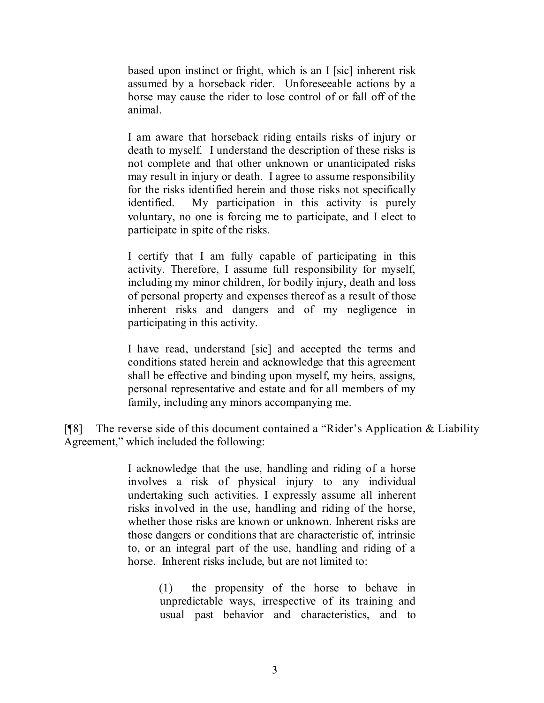based upon instinct or fright, which is an I [sic] inherent risk assumed by a horseback rider. Unforeseeable actions by a horse may cause the rider to lose control of or fall off of the animal.

I am aware that horseback riding entails risks of injury or death to myself. I understand the description of these risks is not complete and that other unknown or unanticipated risks may result in injury or death. I agree to assume responsibility for the risks identified herein and those risks not specifically identified. My participation in this activity is purely voluntary, no one is forcing me to participate, and I elect to participate in spite of the risks.

I certify that I am fully capable of participating in this activity. Therefore, I assume full responsibility for myself, including my minor children, for bodily injury, death and loss of personal property and expenses thereof as a result of those inherent risks and dangers and of my negligence in participating in this activity.

I have read, understand [sic] and accepted the terms and conditions stated herein and acknowledge that this agreement shall be effective and binding upon myself, my heirs, assigns, personal representative and estate and for all members of my family, including any minors accompanying me.

[¶8] The reverse side of this document contained a "Rider's Application & Liability Agreement," which included the following:

> I acknowledge that the use, handling and riding of a horse involves a risk of physical injury to any individual undertaking such activities. I expressly assume all inherent risks involved in the use, handling and riding of the horse, whether those risks are known or unknown. Inherent risks are those dangers or conditions that are characteristic of, intrinsic to, or an integral part of the use, handling and riding of a horse. Inherent risks include, but are not limited to:

> > (1) the propensity of the horse to behave in unpredictable ways, irrespective of its training and usual past behavior and characteristics, and to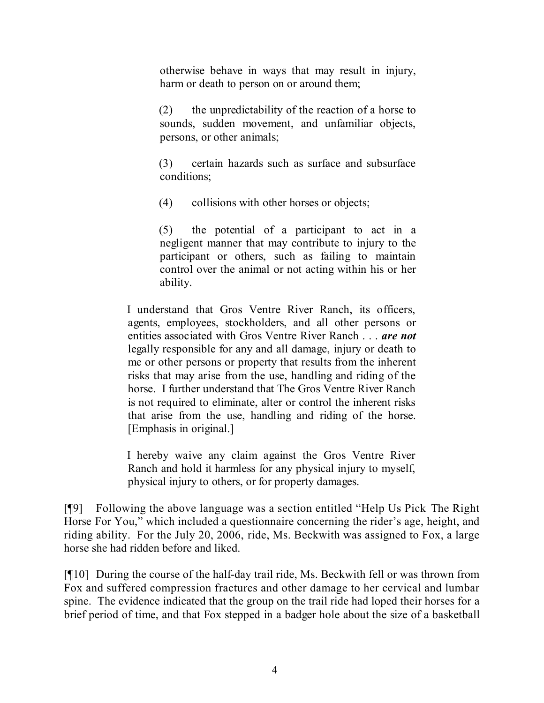otherwise behave in ways that may result in injury, harm or death to person on or around them;

(2) the unpredictability of the reaction of a horse to sounds, sudden movement, and unfamiliar objects, persons, or other animals;

(3) certain hazards such as surface and subsurface conditions;

(4) collisions with other horses or objects;

(5) the potential of a participant to act in a negligent manner that may contribute to injury to the participant or others, such as failing to maintain control over the animal or not acting within his or her ability.

I understand that Gros Ventre River Ranch, its officers, agents, employees, stockholders, and all other persons or entities associated with Gros Ventre River Ranch . . . *are not* legally responsible for any and all damage, injury or death to me or other persons or property that results from the inherent risks that may arise from the use, handling and riding of the horse. I further understand that The Gros Ventre River Ranch is not required to eliminate, alter or control the inherent risks that arise from the use, handling and riding of the horse. [Emphasis in original.]

I hereby waive any claim against the Gros Ventre River Ranch and hold it harmless for any physical injury to myself, physical injury to others, or for property damages.

[¶9] Following the above language was a section entitled "Help Us Pick The Right Horse For You," which included a questionnaire concerning the rider's age, height, and riding ability. For the July 20, 2006, ride, Ms. Beckwith was assigned to Fox, a large horse she had ridden before and liked.

[¶10] During the course of the half-day trail ride, Ms. Beckwith fell or was thrown from Fox and suffered compression fractures and other damage to her cervical and lumbar spine. The evidence indicated that the group on the trail ride had loped their horses for a brief period of time, and that Fox stepped in a badger hole about the size of a basketball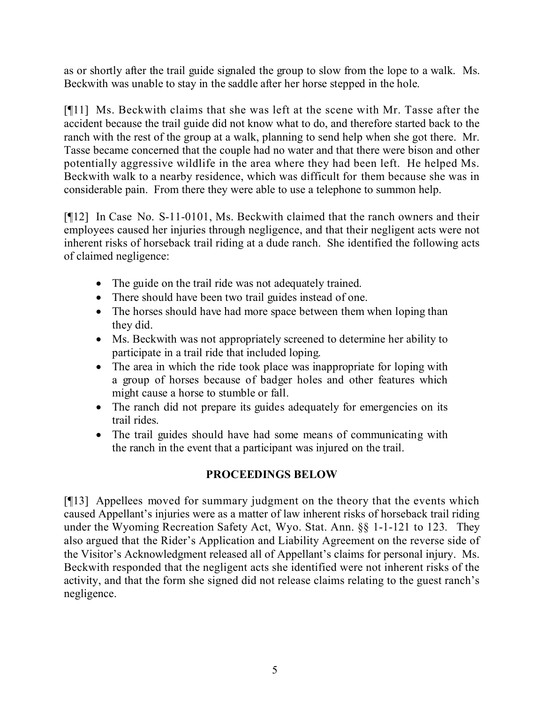as or shortly after the trail guide signaled the group to slow from the lope to a walk. Ms. Beckwith was unable to stay in the saddle after her horse stepped in the hole.

[¶11] Ms. Beckwith claims that she was left at the scene with Mr. Tasse after the accident because the trail guide did not know what to do, and therefore started back to the ranch with the rest of the group at a walk, planning to send help when she got there. Mr. Tasse became concerned that the couple had no water and that there were bison and other potentially aggressive wildlife in the area where they had been left. He helped Ms. Beckwith walk to a nearby residence, which was difficult for them because she was in considerable pain. From there they were able to use a telephone to summon help.

[¶12] In Case No. S-11-0101, Ms. Beckwith claimed that the ranch owners and their employees caused her injuries through negligence, and that their negligent acts were not inherent risks of horseback trail riding at a dude ranch. She identified the following acts of claimed negligence:

- The guide on the trail ride was not adequately trained.
- There should have been two trail guides instead of one.
- The horses should have had more space between them when loping than they did.
- Ms. Beckwith was not appropriately screened to determine her ability to participate in a trail ride that included loping.
- The area in which the ride took place was inappropriate for loping with a group of horses because of badger holes and other features which might cause a horse to stumble or fall.
- The ranch did not prepare its guides adequately for emergencies on its trail rides.
- The trail guides should have had some means of communicating with the ranch in the event that a participant was injured on the trail.

# **PROCEEDINGS BELOW**

[¶13] Appellees moved for summary judgment on the theory that the events which caused Appellant's injuries were as a matter of law inherent risks of horseback trail riding under the Wyoming Recreation Safety Act, Wyo. Stat. Ann. §§ 1-1-121 to 123*.* They also argued that the Rider's Application and Liability Agreement on the reverse side of the Visitor's Acknowledgment released all of Appellant's claims for personal injury. Ms. Beckwith responded that the negligent acts she identified were not inherent risks of the activity, and that the form she signed did not release claims relating to the guest ranch's negligence.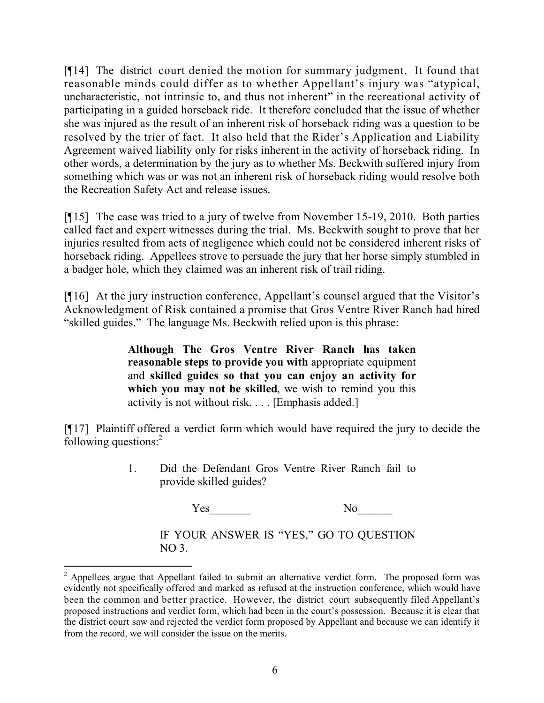[¶14] The district court denied the motion for summary judgment. It found that reasonable minds could differ as to whether Appellant's injury was "atypical, uncharacteristic, not intrinsic to, and thus not inherent" in the recreational activity of participating in a guided horseback ride. It therefore concluded that the issue of whether she was injured as the result of an inherent risk of horseback riding was a question to be resolved by the trier of fact. It also held that the Rider's Application and Liability Agreement waived liability only for risks inherent in the activity of horseback riding. In other words, a determination by the jury as to whether Ms. Beckwith suffered injury from something which was or was not an inherent risk of horseback riding would resolve both the Recreation Safety Act and release issues.

[¶15] The case was tried to a jury of twelve from November 15-19, 2010. Both parties called fact and expert witnesses during the trial. Ms. Beckwith sought to prove that her injuries resulted from acts of negligence which could not be considered inherent risks of horseback riding. Appellees strove to persuade the jury that her horse simply stumbled in a badger hole, which they claimed was an inherent risk of trail riding.

[¶16] At the jury instruction conference, Appellant's counsel argued that the Visitor's Acknowledgment of Risk contained a promise that Gros Ventre River Ranch had hired "skilled guides." The language Ms. Beckwith relied upon is this phrase:

> **Although The Gros Ventre River Ranch has taken reasonable steps to provide you with** appropriate equipment and **skilled guides so that you can enjoy an activity for which you may not be skilled**, we wish to remind you this activity is not without risk. . . . [Emphasis added.]

[¶17] Plaintiff offered a verdict form which would have required the jury to decide the following questions: $<sup>2</sup>$ </sup>

> 1. Did the Defendant Gros Ventre River Ranch fail to provide skilled guides?

> > Yes No

IF YOUR ANSWER IS "YES," GO TO QUESTION  $NO<sub>3</sub>$ 

 $2$  Appellees argue that Appellant failed to submit an alternative verdict form. The proposed form was evidently not specifically offered and marked as refused at the instruction conference, which would have been the common and better practice. However, the district court subsequently filed Appellant's proposed instructions and verdict form, which had been in the court's possession. Because it is clear that the district court saw and rejected the verdict form proposed by Appellant and because we can identify it from the record, we will consider the issue on the merits.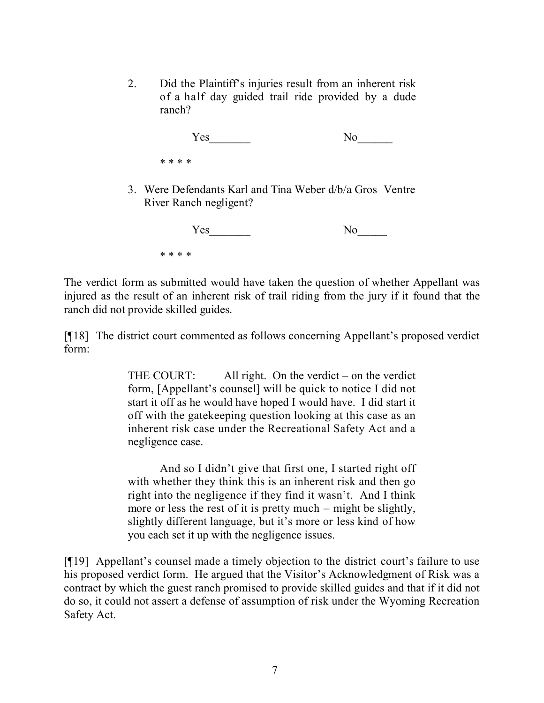2. Did the Plaintiff's injuries result from an inherent risk of a half day guided trail ride provided by a dude ranch?

| Yes     | N <sub>o</sub> |
|---------|----------------|
| * * * * |                |

3. Were Defendants Karl and Tina Weber d/b/a Gros Ventre River Ranch negligent?

| Yes     | No |
|---------|----|
| * * * * |    |

The verdict form as submitted would have taken the question of whether Appellant was injured as the result of an inherent risk of trail riding from the jury if it found that the ranch did not provide skilled guides.

[¶18] The district court commented as follows concerning Appellant's proposed verdict form:

> THE COURT: All right. On the verdict – on the verdict form, [Appellant's counsel] will be quick to notice I did not start it off as he would have hoped I would have. I did start it off with the gatekeeping question looking at this case as an inherent risk case under the Recreational Safety Act and a negligence case.

> And so I didn't give that first one, I started right off with whether they think this is an inherent risk and then go right into the negligence if they find it wasn't. And I think more or less the rest of it is pretty much – might be slightly, slightly different language, but it's more or less kind of how you each set it up with the negligence issues.

[¶19] Appellant's counsel made a timely objection to the district court's failure to use his proposed verdict form. He argued that the Visitor's Acknowledgment of Risk was a contract by which the guest ranch promised to provide skilled guides and that if it did not do so, it could not assert a defense of assumption of risk under the Wyoming Recreation Safety Act.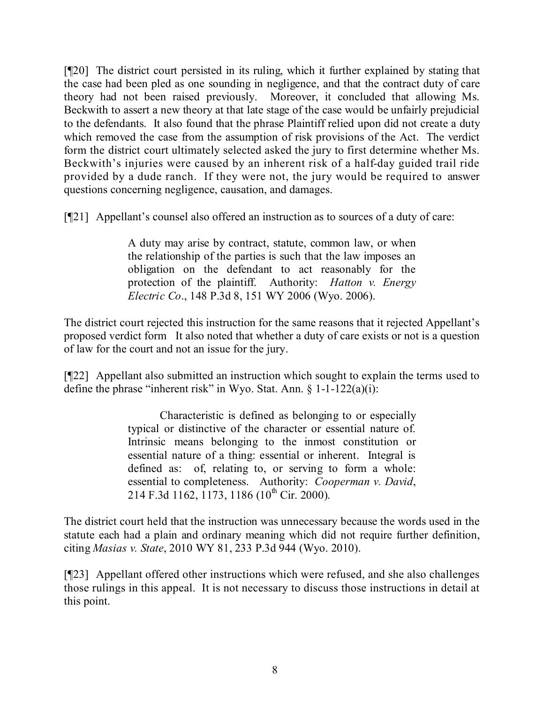[¶20] The district court persisted in its ruling, which it further explained by stating that the case had been pled as one sounding in negligence, and that the contract duty of care theory had not been raised previously. Moreover, it concluded that allowing Ms. Beckwith to assert a new theory at that late stage of the case would be unfairly prejudicial to the defendants. It also found that the phrase Plaintiff relied upon did not create a duty which removed the case from the assumption of risk provisions of the Act. The verdict form the district court ultimately selected asked the jury to first determine whether Ms. Beckwith's injuries were caused by an inherent risk of a half-day guided trail ride provided by a dude ranch. If they were not, the jury would be required to answer questions concerning negligence, causation, and damages.

[¶21] Appellant's counsel also offered an instruction as to sources of a duty of care:

A duty may arise by contract, statute, common law, or when the relationship of the parties is such that the law imposes an obligation on the defendant to act reasonably for the protection of the plaintiff. Authority: *Hatton v. Energy Electric Co*., 148 P.3d 8, 151 WY 2006 (Wyo. 2006).

The district court rejected this instruction for the same reasons that it rejected Appellant's proposed verdict form It also noted that whether a duty of care exists or not is a question of law for the court and not an issue for the jury.

[¶22] Appellant also submitted an instruction which sought to explain the terms used to define the phrase "inherent risk" in Wyo. Stat. Ann. § 1-1-122(a)(i):

> Characteristic is defined as belonging to or especially typical or distinctive of the character or essential nature of. Intrinsic means belonging to the inmost constitution or essential nature of a thing: essential or inherent. Integral is defined as: of, relating to, or serving to form a whole: essential to completeness. Authority: *Cooperman v. David*, 214 F.3d 1162, 1173, 1186 (10<sup>th</sup> Cir. 2000).

The district court held that the instruction was unnecessary because the words used in the statute each had a plain and ordinary meaning which did not require further definition, citing *Masias v. State*, 2010 WY 81, 233 P.3d 944 (Wyo. 2010).

[¶23] Appellant offered other instructions which were refused, and she also challenges those rulings in this appeal. It is not necessary to discuss those instructions in detail at this point.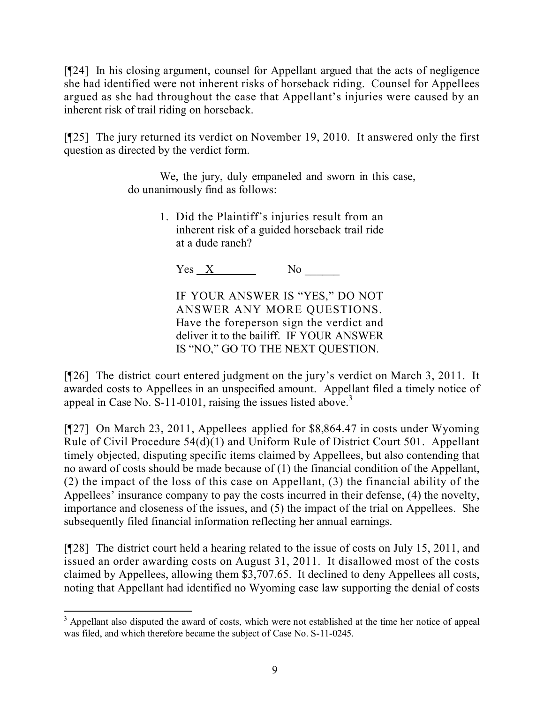[¶24] In his closing argument, counsel for Appellant argued that the acts of negligence she had identified were not inherent risks of horseback riding. Counsel for Appellees argued as she had throughout the case that Appellant's injuries were caused by an inherent risk of trail riding on horseback.

[¶25] The jury returned its verdict on November 19, 2010. It answered only the first question as directed by the verdict form.

> We, the jury, duly empaneled and sworn in this case, do unanimously find as follows:

> > 1. Did the Plaintiff's injuries result from an inherent risk of a guided horseback trail ride at a dude ranch?

 $Yes\_X$  No

IF YOUR ANSWER IS "YES," DO NOT ANSWER ANY MORE QUESTIONS. Have the foreperson sign the verdict and deliver it to the bailiff. IF YOUR ANSWER IS "NO," GO TO THE NEXT QUESTION.

[¶26] The district court entered judgment on the jury's verdict on March 3, 2011. It awarded costs to Appellees in an unspecified amount. Appellant filed a timely notice of appeal in Case No.  $S-11-0101$ , raising the issues listed above.<sup>3</sup>

[¶27] On March 23, 2011, Appellees applied for \$8,864.47 in costs under Wyoming Rule of Civil Procedure 54(d)(1) and Uniform Rule of District Court 501. Appellant timely objected, disputing specific items claimed by Appellees, but also contending that no award of costs should be made because of (1) the financial condition of the Appellant, (2) the impact of the loss of this case on Appellant, (3) the financial ability of the Appellees' insurance company to pay the costs incurred in their defense, (4) the novelty, importance and closeness of the issues, and (5) the impact of the trial on Appellees. She subsequently filed financial information reflecting her annual earnings.

[¶28] The district court held a hearing related to the issue of costs on July 15, 2011, and issued an order awarding costs on August 31, 2011. It disallowed most of the costs claimed by Appellees, allowing them \$3,707.65. It declined to deny Appellees all costs, noting that Appellant had identified no Wyoming case law supporting the denial of costs

 $\overline{a}$ <sup>3</sup> Appellant also disputed the award of costs, which were not established at the time her notice of appeal was filed, and which therefore became the subject of Case No. S-11-0245.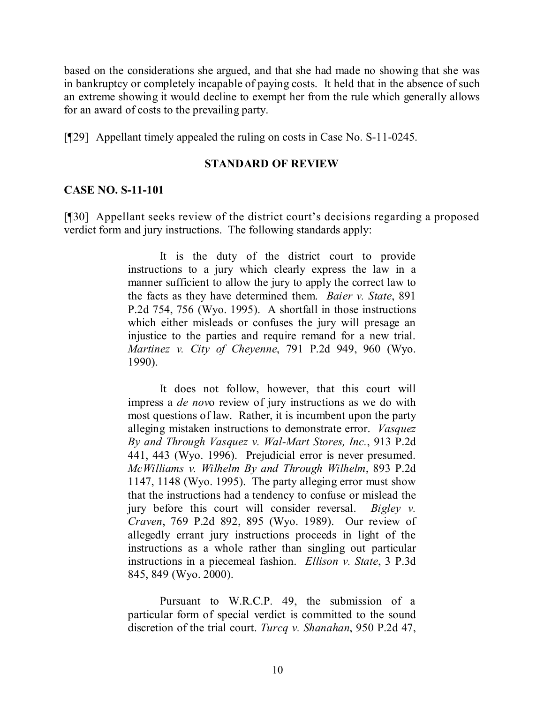based on the considerations she argued, and that she had made no showing that she was in bankruptcy or completely incapable of paying costs. It held that in the absence of such an extreme showing it would decline to exempt her from the rule which generally allows for an award of costs to the prevailing party.

[¶29] Appellant timely appealed the ruling on costs in Case No. S-11-0245.

#### **STANDARD OF REVIEW**

#### **CASE NO. S-11-101**

[¶30] Appellant seeks review of the district court's decisions regarding a proposed verdict form and jury instructions. The following standards apply:

> It is the duty of the district court to provide instructions to a jury which clearly express the law in a manner sufficient to allow the jury to apply the correct law to the facts as they have determined them. *Baier v. State*, 891 P.2d 754, 756 (Wyo. 1995). A shortfall in those instructions which either misleads or confuses the jury will presage an injustice to the parties and require remand for a new trial. *Martinez v. City of Cheyenne*, 791 P.2d 949, 960 (Wyo. 1990).

> It does not follow, however, that this court will impress a *de nov*o review of jury instructions as we do with most questions of law. Rather, it is incumbent upon the party alleging mistaken instructions to demonstrate error. *Vasquez By and Through Vasquez v. Wal-Mart Stores, Inc.*, 913 P.2d 441, 443 (Wyo. 1996). Prejudicial error is never presumed. *McWilliams v. Wilhelm By and Through Wilhelm*, 893 P.2d 1147, 1148 (Wyo. 1995). The party alleging error must show that the instructions had a tendency to confuse or mislead the jury before this court will consider reversal. *Bigley v. Craven*, 769 P.2d 892, 895 (Wyo. 1989). Our review of allegedly errant jury instructions proceeds in light of the instructions as a whole rather than singling out particular instructions in a piecemeal fashion. *Ellison v. State*, 3 P.3d 845, 849 (Wyo. 2000).

> Pursuant to W.R.C.P. 49, the submission of a particular form of special verdict is committed to the sound discretion of the trial court. *Turcq v. Shanahan*, 950 P.2d 47,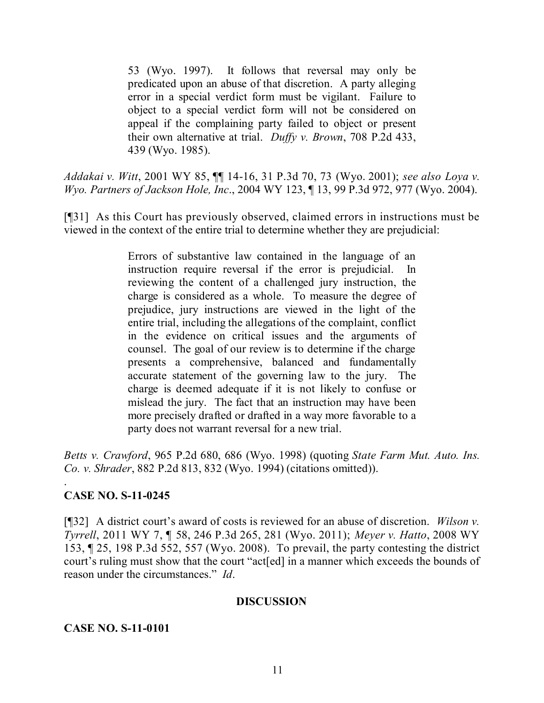53 (Wyo. 1997). It follows that reversal may only be predicated upon an abuse of that discretion. A party alleging error in a special verdict form must be vigilant. Failure to object to a special verdict form will not be considered on appeal if the complaining party failed to object or present their own alternative at trial. *Duffy v. Brown*, 708 P.2d 433, 439 (Wyo. 1985).

*Addakai v. Witt*, 2001 WY 85, ¶¶ 14-16, 31 P.3d 70, 73 (Wyo. 2001); *see also Loya v. Wyo. Partners of Jackson Hole, Inc*., 2004 WY 123, ¶ 13, 99 P.3d 972, 977 (Wyo. 2004).

[¶31] As this Court has previously observed, claimed errors in instructions must be viewed in the context of the entire trial to determine whether they are prejudicial:

> Errors of substantive law contained in the language of an instruction require reversal if the error is prejudicial. In reviewing the content of a challenged jury instruction, the charge is considered as a whole. To measure the degree of prejudice, jury instructions are viewed in the light of the entire trial, including the allegations of the complaint, conflict in the evidence on critical issues and the arguments of counsel. The goal of our review is to determine if the charge presents a comprehensive, balanced and fundamentally accurate statement of the governing law to the jury. The charge is deemed adequate if it is not likely to confuse or mislead the jury. The fact that an instruction may have been more precisely drafted or drafted in a way more favorable to a party does not warrant reversal for a new trial.

*Betts v. Crawford*, 965 P.2d 680, 686 (Wyo. 1998) (quoting *State Farm Mut. Auto. Ins. Co. v. Shrader*, 882 P.2d 813, 832 (Wyo. 1994) (citations omitted)).

## **CASE NO. S-11-0245**

.

[¶32] A district court's award of costs is reviewed for an abuse of discretion. *Wilson v. Tyrrell*, 2011 WY 7, ¶ 58, 246 P.3d 265, 281 (Wyo. 2011); *Meyer v. Hatto*, 2008 WY 153, ¶ 25, 198 P.3d 552, 557 (Wyo. 2008). To prevail, the party contesting the district court's ruling must show that the court "act[ed] in a manner which exceeds the bounds of reason under the circumstances." *Id*.

#### **DISCUSSION**

#### **CASE NO. S-11-0101**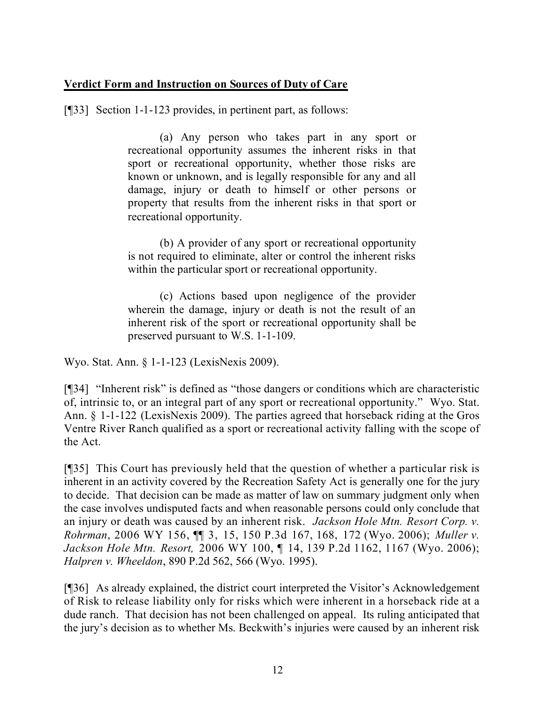### **Verdict Form and Instruction on Sources of Duty of Care**

[¶33] Section 1-1-123 provides, in pertinent part, as follows:

(a) Any person who takes part in any sport or recreational opportunity assumes the inherent risks in that sport or recreational opportunity, whether those risks are known or unknown, and is legally responsible for any and all damage, injury or death to himself or other persons or property that results from the inherent risks in that sport or recreational opportunity.

(b) A provider of any sport or recreational opportunity is not required to eliminate, alter or control the inherent risks within the particular sport or recreational opportunity.

(c) Actions based upon negligence of the provider wherein the damage, injury or death is not the result of an inherent risk of the sport or recreational opportunity shall be preserved pursuant to W.S. 1-1-109.

Wyo. Stat. Ann. § 1-1-123 (LexisNexis 2009).

[¶34] "Inherent risk" is defined as "those dangers or conditions which are characteristic of, intrinsic to, or an integral part of any sport or recreational opportunity." Wyo. Stat. Ann. § 1-1-122 (LexisNexis 2009). The parties agreed that horseback riding at the Gros Ventre River Ranch qualified as a sport or recreational activity falling with the scope of the Act.

[¶35] This Court has previously held that the question of whether a particular risk is inherent in an activity covered by the Recreation Safety Act is generally one for the jury to decide. That decision can be made as matter of law on summary judgment only when the case involves undisputed facts and when reasonable persons could only conclude that an injury or death was caused by an inherent risk. *Jackson Hole Mtn. Resort Corp. v. Rohrman*, 2006 WY 156, ¶¶ 3, 15, 150 P.3d 167, 168, 172 (Wyo. 2006); *Muller v. Jackson Hole Mtn. Resort,* 2006 WY 100, ¶ 14, 139 P.2d 1162, 1167 (Wyo. 2006); *Halpren v. Wheeldon*, 890 P.2d 562, 566 (Wyo. 1995).

[¶36] As already explained, the district court interpreted the Visitor's Acknowledgement of Risk to release liability only for risks which were inherent in a horseback ride at a dude ranch. That decision has not been challenged on appeal. Its ruling anticipated that the jury's decision as to whether Ms. Beckwith's injuries were caused by an inherent risk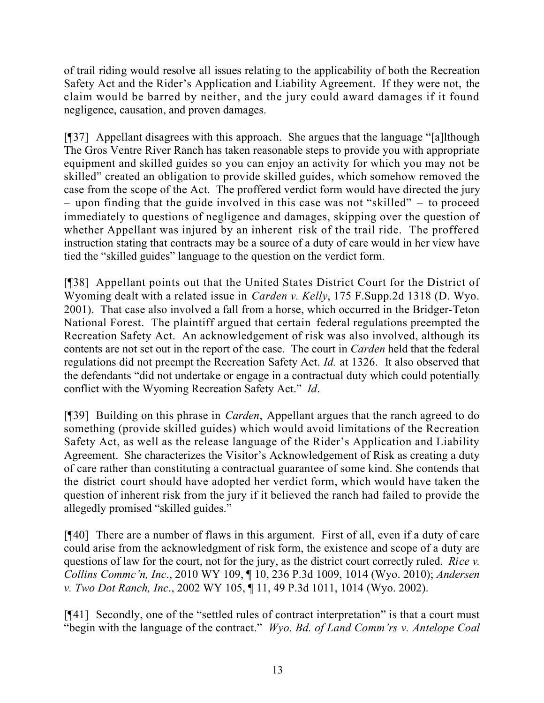of trail riding would resolve all issues relating to the applicability of both the Recreation Safety Act and the Rider's Application and Liability Agreement. If they were not, the claim would be barred by neither, and the jury could award damages if it found negligence, causation, and proven damages.

[¶37] Appellant disagrees with this approach. She argues that the language "[a]lthough The Gros Ventre River Ranch has taken reasonable steps to provide you with appropriate equipment and skilled guides so you can enjoy an activity for which you may not be skilled" created an obligation to provide skilled guides, which somehow removed the case from the scope of the Act. The proffered verdict form would have directed the jury – upon finding that the guide involved in this case was not "skilled" – to proceed immediately to questions of negligence and damages, skipping over the question of whether Appellant was injured by an inherent risk of the trail ride. The proffered instruction stating that contracts may be a source of a duty of care would in her view have tied the "skilled guides" language to the question on the verdict form.

[¶38] Appellant points out that the United States District Court for the District of Wyoming dealt with a related issue in *Carden v. Kelly*, 175 F.Supp.2d 1318 (D. Wyo. 2001). That case also involved a fall from a horse, which occurred in the Bridger-Teton National Forest. The plaintiff argued that certain federal regulations preempted the Recreation Safety Act. An acknowledgement of risk was also involved, although its contents are not set out in the report of the case. The court in *Carden* held that the federal regulations did not preempt the Recreation Safety Act. *Id.* at 1326. It also observed that the defendants "did not undertake or engage in a contractual duty which could potentially conflict with the Wyoming Recreation Safety Act." *Id*.

[¶39] Building on this phrase in *Carden*, Appellant argues that the ranch agreed to do something (provide skilled guides) which would avoid limitations of the Recreation Safety Act, as well as the release language of the Rider's Application and Liability Agreement. She characterizes the Visitor's Acknowledgement of Risk as creating a duty of care rather than constituting a contractual guarantee of some kind. She contends that the district court should have adopted her verdict form, which would have taken the question of inherent risk from the jury if it believed the ranch had failed to provide the allegedly promised "skilled guides."

[¶40] There are a number of flaws in this argument. First of all, even if a duty of care could arise from the acknowledgment of risk form, the existence and scope of a duty are questions of law for the court, not for the jury, as the district court correctly ruled. *Rice v. Collins Commc'n, Inc*., 2010 WY 109, ¶ 10, 236 P.3d 1009, 1014 (Wyo. 2010); *Andersen v. Two Dot Ranch, Inc*., 2002 WY 105, ¶ 11, 49 P.3d 1011, 1014 (Wyo. 2002).

[¶41] Secondly, one of the "settled rules of contract interpretation" is that a court must "begin with the language of the contract." *Wyo. Bd. of Land Comm'rs v. Antelope Coal*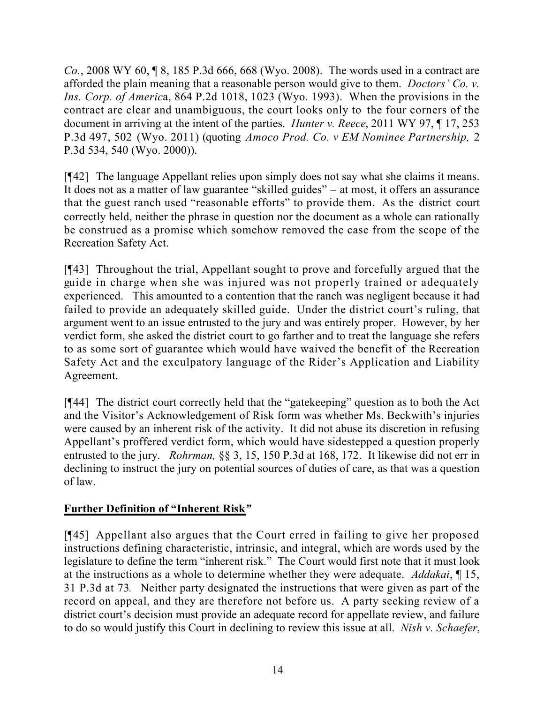*Co.*, 2008 WY 60, ¶ 8, 185 P.3d 666, 668 (Wyo. 2008). The words used in a contract are afforded the plain meaning that a reasonable person would give to them. *Doctors' Co. v. Ins. Corp. of Americ*a, 864 P.2d 1018, 1023 (Wyo. 1993). When the provisions in the contract are clear and unambiguous, the court looks only to the four corners of the document in arriving at the intent of the parties. *Hunter v. Reece*, 2011 WY 97, ¶ 17, 253 P.3d 497, 502 (Wyo. 2011) (quoting *Amoco Prod. Co. v EM Nominee Partnership,* 2 P.3d 534, 540 (Wyo. 2000)).

[¶42] The language Appellant relies upon simply does not say what she claims it means. It does not as a matter of law guarantee "skilled guides" – at most, it offers an assurance that the guest ranch used "reasonable efforts" to provide them. As the district court correctly held, neither the phrase in question nor the document as a whole can rationally be construed as a promise which somehow removed the case from the scope of the Recreation Safety Act.

[¶43] Throughout the trial, Appellant sought to prove and forcefully argued that the guide in charge when she was injured was not properly trained or adequately experienced. This amounted to a contention that the ranch was negligent because it had failed to provide an adequately skilled guide. Under the district court's ruling, that argument went to an issue entrusted to the jury and was entirely proper. However, by her verdict form, she asked the district court to go farther and to treat the language she refers to as some sort of guarantee which would have waived the benefit of the Recreation Safety Act and the exculpatory language of the Rider's Application and Liability Agreement.

[¶44] The district court correctly held that the "gatekeeping" question as to both the Act and the Visitor's Acknowledgement of Risk form was whether Ms. Beckwith's injuries were caused by an inherent risk of the activity. It did not abuse its discretion in refusing Appellant's proffered verdict form, which would have sidestepped a question properly entrusted to the jury. *Rohrman,* §§ 3, 15, 150 P.3d at 168, 172.It likewise did not err in declining to instruct the jury on potential sources of duties of care, as that was a question of law.

# **Further Definition of "Inherent Risk***"*

[¶45] Appellant also argues that the Court erred in failing to give her proposed instructions defining characteristic, intrinsic, and integral, which are words used by the legislature to define the term "inherent risk." The Court would first note that it must look at the instructions as a whole to determine whether they were adequate. *Addakai*, ¶ 15, 31 P.3d at 73*.* Neither party designated the instructions that were given as part of the record on appeal, and they are therefore not before us. A party seeking review of a district court's decision must provide an adequate record for appellate review, and failure to do so would justify this Court in declining to review this issue at all. *Nish v. Schaefer*,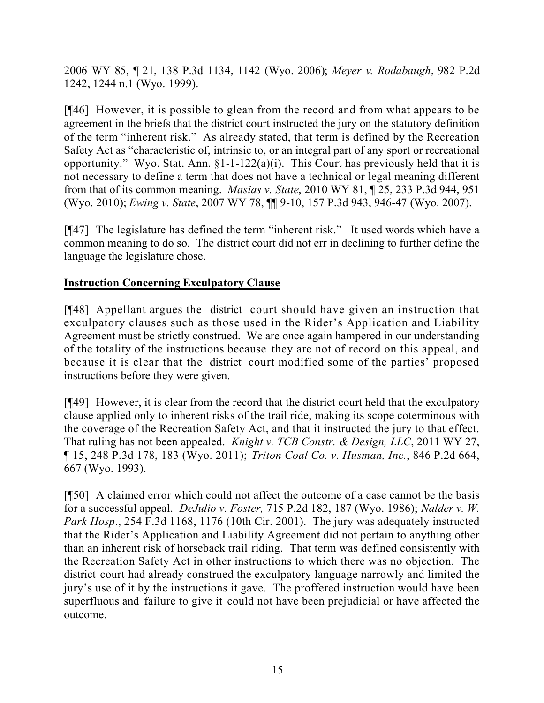2006 WY 85, ¶ 21, 138 P.3d 1134, 1142 (Wyo. 2006); *Meyer v. Rodabaugh*, 982 P.2d 1242, 1244 n.1 (Wyo. 1999).

[¶46] However, it is possible to glean from the record and from what appears to be agreement in the briefs that the district court instructed the jury on the statutory definition of the term "inherent risk." As already stated, that term is defined by the Recreation Safety Act as "characteristic of, intrinsic to, or an integral part of any sport or recreational opportunity." Wyo. Stat. Ann.  $\S 1$ -1-122(a)(i). This Court has previously held that it is not necessary to define a term that does not have a technical or legal meaning different from that of its common meaning. *Masias v. State*, 2010 WY 81, ¶ 25, 233 P.3d 944, 951 (Wyo. 2010); *Ewing v. State*, 2007 WY 78, ¶¶ 9-10, 157 P.3d 943, 946-47 (Wyo. 2007).

[¶47] The legislature has defined the term "inherent risk." It used words which have a common meaning to do so. The district court did not err in declining to further define the language the legislature chose.

### **Instruction Concerning Exculpatory Clause**

[¶48] Appellant argues the district court should have given an instruction that exculpatory clauses such as those used in the Rider's Application and Liability Agreement must be strictly construed. We are once again hampered in our understanding of the totality of the instructions because they are not of record on this appeal, and because it is clear that the district court modified some of the parties' proposed instructions before they were given.

[¶49] However, it is clear from the record that the district court held that the exculpatory clause applied only to inherent risks of the trail ride, making its scope coterminous with the coverage of the Recreation Safety Act, and that it instructed the jury to that effect. That ruling has not been appealed. *Knight v. TCB Constr. & Design, LLC*, 2011 WY 27, ¶ 15, 248 P.3d 178, 183 (Wyo. 2011); *Triton Coal Co. v. Husman, Inc.*, 846 P.2d 664, 667 (Wyo. 1993).

[¶50] A claimed error which could not affect the outcome of a case cannot be the basis for a successful appeal. *DeJulio v. Foster,* 715 P.2d 182, 187 (Wyo. 1986); *Nalder v. W. Park Hosp*., 254 F.3d 1168, 1176 (10th Cir. 2001). The jury was adequately instructed that the Rider's Application and Liability Agreement did not pertain to anything other than an inherent risk of horseback trail riding. That term was defined consistently with the Recreation Safety Act in other instructions to which there was no objection. The district court had already construed the exculpatory language narrowly and limited the jury's use of it by the instructions it gave. The proffered instruction would have been superfluous and failure to give it could not have been prejudicial or have affected the outcome.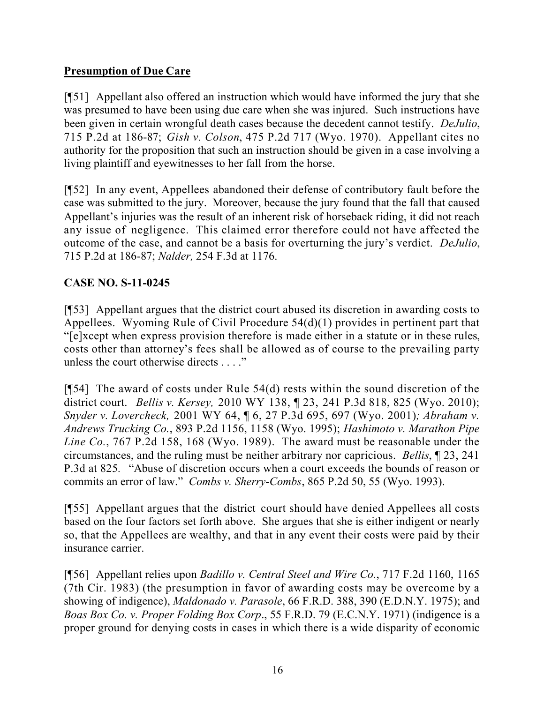# **Presumption of Due Care**

[¶51] Appellant also offered an instruction which would have informed the jury that she was presumed to have been using due care when she was injured. Such instructions have been given in certain wrongful death cases because the decedent cannot testify. *DeJulio*, 715 P.2d at 186-87; *Gish v. Colson*, 475 P.2d 717 (Wyo. 1970). Appellant cites no authority for the proposition that such an instruction should be given in a case involving a living plaintiff and eyewitnesses to her fall from the horse.

[¶52] In any event, Appellees abandoned their defense of contributory fault before the case was submitted to the jury. Moreover, because the jury found that the fall that caused Appellant's injuries was the result of an inherent risk of horseback riding, it did not reach any issue of negligence. This claimed error therefore could not have affected the outcome of the case, and cannot be a basis for overturning the jury's verdict. *DeJulio*, 715 P.2d at 186-87; *Nalder,* 254 F.3d at 1176.

# **CASE NO. S-11-0245**

[¶53] Appellant argues that the district court abused its discretion in awarding costs to Appellees. Wyoming Rule of Civil Procedure 54(d)(1) provides in pertinent part that "[e]xcept when express provision therefore is made either in a statute or in these rules, costs other than attorney's fees shall be allowed as of course to the prevailing party unless the court otherwise directs . . . ."

[¶54] The award of costs under Rule 54(d) rests within the sound discretion of the district court. *Bellis v. Kersey,* 2010 WY 138, ¶ 23, 241 P.3d 818, 825 (Wyo. 2010); *Snyder v. Lovercheck,* 2001 WY 64, ¶ 6, 27 P.3d 695, 697 (Wyo. 2001)*; Abraham v. Andrews Trucking Co.*, 893 P.2d 1156, 1158 (Wyo. 1995); *Hashimoto v. Marathon Pipe Line Co.*, 767 P.2d 158, 168 (Wyo. 1989). The award must be reasonable under the circumstances, and the ruling must be neither arbitrary nor capricious. *Bellis*, ¶ 23, 241 P.3d at 825*.* "Abuse of discretion occurs when a court exceeds the bounds of reason or commits an error of law." *Combs v. Sherry-Combs*, 865 P.2d 50, 55 (Wyo. 1993).

[¶55] Appellant argues that the district court should have denied Appellees all costs based on the four factors set forth above. She argues that she is either indigent or nearly so, that the Appellees are wealthy, and that in any event their costs were paid by their insurance carrier.

[¶56] Appellant relies upon *Badillo v. Central Steel and Wire Co.*, 717 F.2d 1160, 1165 (7th Cir. 1983) (the presumption in favor of awarding costs may be overcome by a showing of indigence), *Maldonado v. Parasole*, 66 F.R.D. 388, 390 (E.D.N.Y. 1975); and *Boas Box Co. v. Proper Folding Box Corp*., 55 F.R.D. 79 (E.C.N.Y. 1971) (indigence is a proper ground for denying costs in cases in which there is a wide disparity of economic